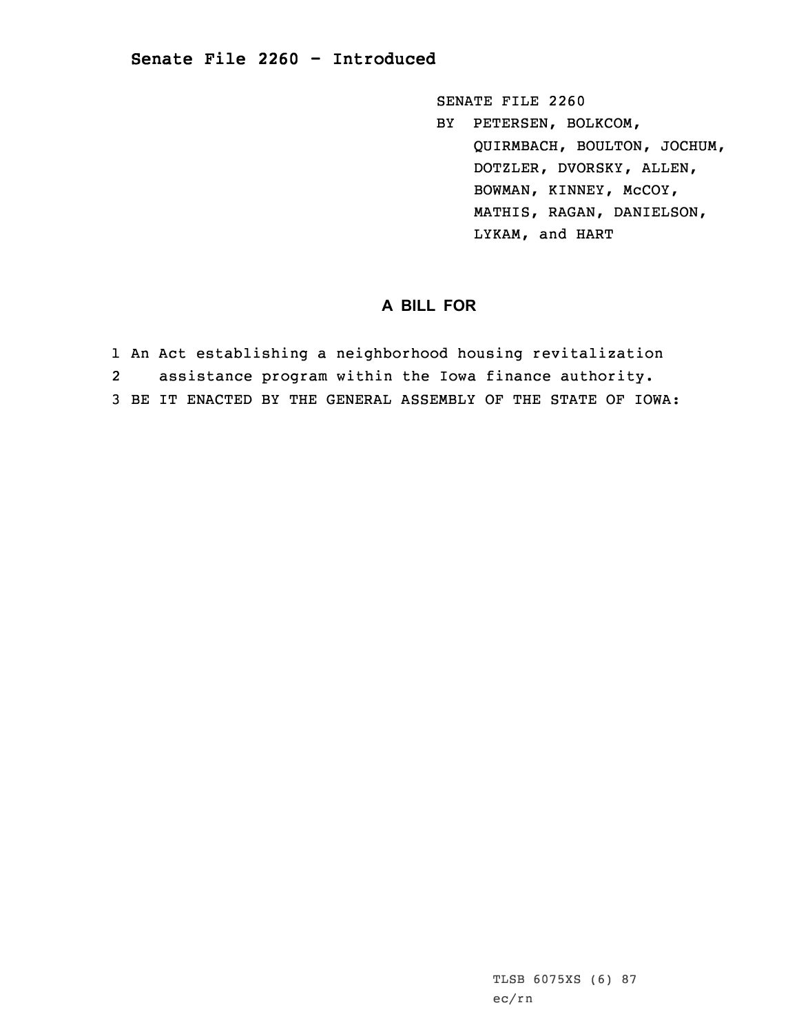## **Senate File 2260 - Introduced**

SENATE FILE 2260 BY PETERSEN, BOLKCOM, QUIRMBACH, BOULTON, JOCHUM, DOTZLER, DVORSKY, ALLEN, BOWMAN, KINNEY, McCOY, MATHIS, RAGAN, DANIELSON, LYKAM, and HART

## **A BILL FOR**

- 1 An Act establishing <sup>a</sup> neighborhood housing revitalization
- 2assistance program within the Iowa finance authority.
- 3 BE IT ENACTED BY THE GENERAL ASSEMBLY OF THE STATE OF IOWA: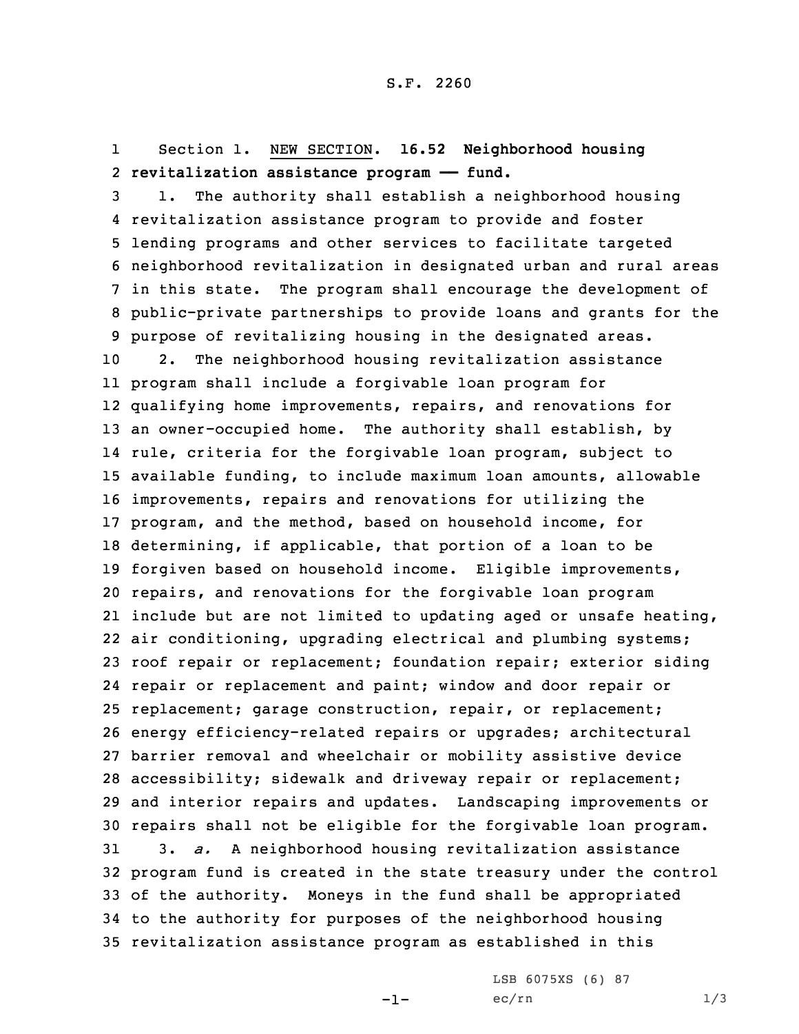## 1 Section 1. NEW SECTION. **16.52 Neighborhood housing** 2 **revitalization assistance program —— fund.**

 1. The authority shall establish <sup>a</sup> neighborhood housing revitalization assistance program to provide and foster lending programs and other services to facilitate targeted neighborhood revitalization in designated urban and rural areas in this state. The program shall encourage the development of public-private partnerships to provide loans and grants for the purpose of revitalizing housing in the designated areas. 2. The neighborhood housing revitalization assistance program shall include <sup>a</sup> forgivable loan program for qualifying home improvements, repairs, and renovations for an owner-occupied home. The authority shall establish, by rule, criteria for the forgivable loan program, subject to available funding, to include maximum loan amounts, allowable improvements, repairs and renovations for utilizing the program, and the method, based on household income, for determining, if applicable, that portion of <sup>a</sup> loan to be forgiven based on household income. Eligible improvements, repairs, and renovations for the forgivable loan program include but are not limited to updating aged or unsafe heating, air conditioning, upgrading electrical and plumbing systems; roof repair or replacement; foundation repair; exterior siding repair or replacement and paint; window and door repair or replacement; garage construction, repair, or replacement; energy efficiency-related repairs or upgrades; architectural barrier removal and wheelchair or mobility assistive device accessibility; sidewalk and driveway repair or replacement; and interior repairs and updates. Landscaping improvements or repairs shall not be eligible for the forgivable loan program. 3. *a.* <sup>A</sup> neighborhood housing revitalization assistance program fund is created in the state treasury under the control of the authority. Moneys in the fund shall be appropriated to the authority for purposes of the neighborhood housing revitalization assistance program as established in this

-1-

LSB 6075XS (6) 87  $ec/rn$   $1/3$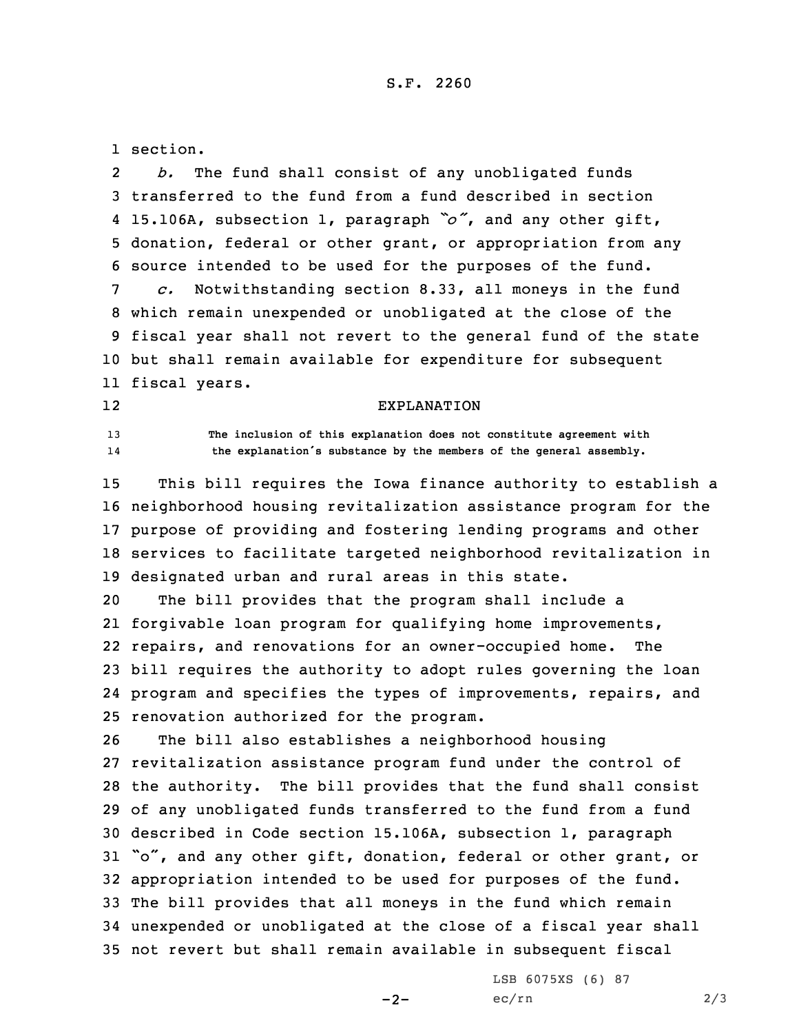1 section.

12

2 *b.* The fund shall consist of any unobligated funds transferred to the fund from <sup>a</sup> fund described in section 15.106A, subsection 1, paragraph *"o"*, and any other gift, donation, federal or other grant, or appropriation from any source intended to be used for the purposes of the fund. *c.* Notwithstanding section 8.33, all moneys in the fund which remain unexpended or unobligated at the close of the fiscal year shall not revert to the general fund of the state but shall remain available for expenditure for subsequent fiscal years.

## EXPLANATION

13 **The inclusion of this explanation does not constitute agreement with** 14**the explanation's substance by the members of the general assembly.**

 This bill requires the Iowa finance authority to establish <sup>a</sup> neighborhood housing revitalization assistance program for the purpose of providing and fostering lending programs and other services to facilitate targeted neighborhood revitalization in designated urban and rural areas in this state.

 The bill provides that the program shall include <sup>a</sup> forgivable loan program for qualifying home improvements, repairs, and renovations for an owner-occupied home. The bill requires the authority to adopt rules governing the loan program and specifies the types of improvements, repairs, and renovation authorized for the program.

 The bill also establishes <sup>a</sup> neighborhood housing revitalization assistance program fund under the control of the authority. The bill provides that the fund shall consist of any unobligated funds transferred to the fund from <sup>a</sup> fund described in Code section 15.106A, subsection 1, paragraph "o", and any other gift, donation, federal or other grant, or appropriation intended to be used for purposes of the fund. The bill provides that all moneys in the fund which remain unexpended or unobligated at the close of <sup>a</sup> fiscal year shall not revert but shall remain available in subsequent fiscal

 $-2-$ 

LSB 6075XS (6) 87  $ec/rn$  2/3